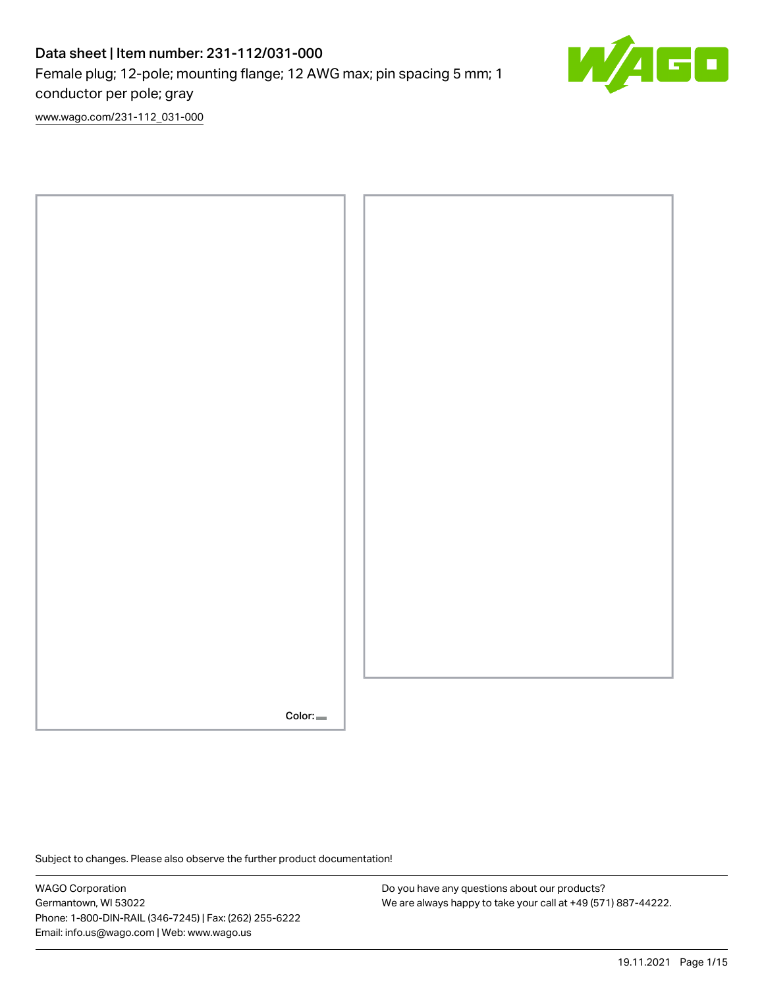# Data sheet | Item number: 231-112/031-000 Female plug; 12-pole; mounting flange; 12 AWG max; pin spacing 5 mm; 1 conductor per pole; gray



[www.wago.com/231-112\\_031-000](http://www.wago.com/231-112_031-000)



Subject to changes. Please also observe the further product documentation!

WAGO Corporation Germantown, WI 53022 Phone: 1-800-DIN-RAIL (346-7245) | Fax: (262) 255-6222 Email: info.us@wago.com | Web: www.wago.us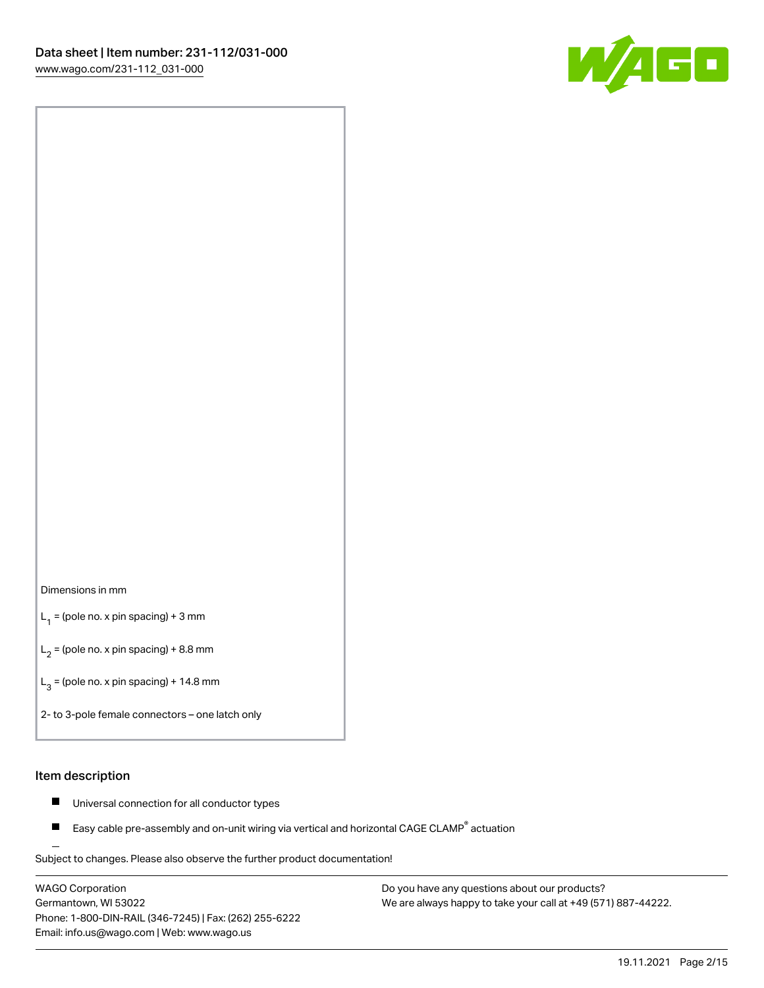

#### Dimensions in mm

 $L_1$  = (pole no. x pin spacing) + 3 mm

 $L_2$  = (pole no. x pin spacing) + 8.8 mm

 $L_3$  = (pole no. x pin spacing) + 14.8 mm

2- to 3-pole female connectors – one latch only

#### Item description

- $\blacksquare$ Universal connection for all conductor types
- Easy cable pre-assembly and on-unit wiring via vertical and horizontal CAGE CLAMP<sup>®</sup> actuation П

.<br>Subject to changes. Please also observe the further product documentation!

WAGO Corporation Germantown, WI 53022 Phone: 1-800-DIN-RAIL (346-7245) | Fax: (262) 255-6222 Email: info.us@wago.com | Web: www.wago.us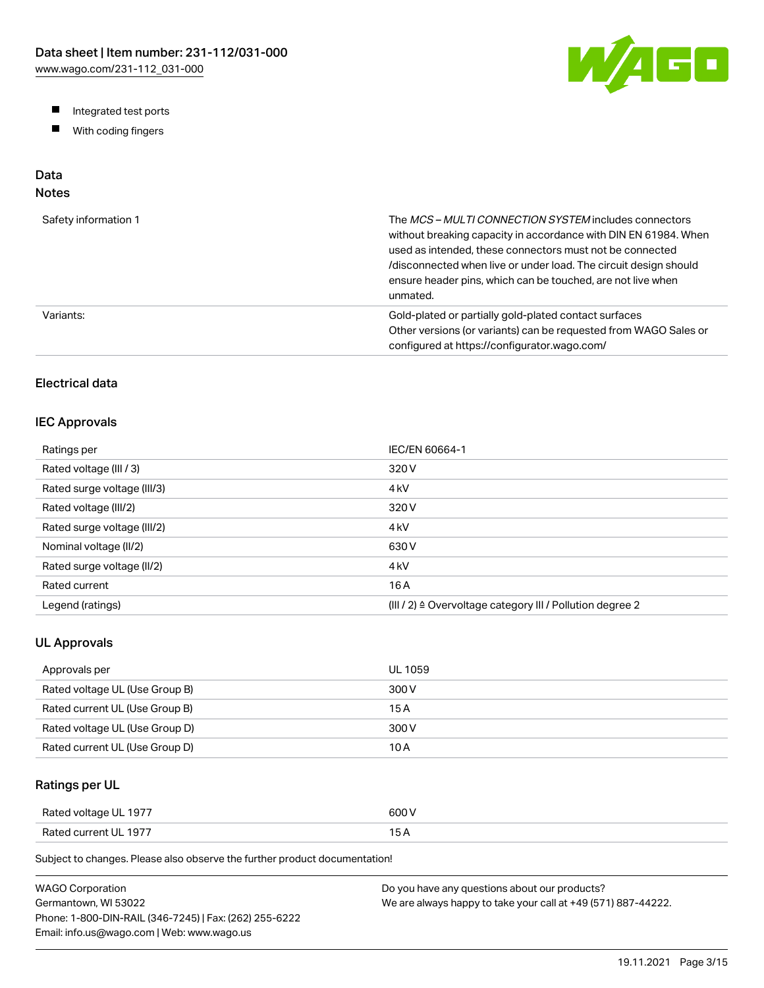W/4GO

- Integrated test ports
- $\blacksquare$ With coding fingers

# Data

# Notes

| Safety information 1 | The MCS-MULTI CONNECTION SYSTEM includes connectors<br>without breaking capacity in accordance with DIN EN 61984. When<br>used as intended, these connectors must not be connected<br>/disconnected when live or under load. The circuit design should<br>ensure header pins, which can be touched, are not live when<br>unmated. |
|----------------------|-----------------------------------------------------------------------------------------------------------------------------------------------------------------------------------------------------------------------------------------------------------------------------------------------------------------------------------|
| Variants:            | Gold-plated or partially gold-plated contact surfaces<br>Other versions (or variants) can be requested from WAGO Sales or<br>configured at https://configurator.wago.com/                                                                                                                                                         |

# Electrical data

### IEC Approvals

| Ratings per                 | IEC/EN 60664-1                                                        |
|-----------------------------|-----------------------------------------------------------------------|
| Rated voltage (III / 3)     | 320 V                                                                 |
| Rated surge voltage (III/3) | 4 <sub>kV</sub>                                                       |
| Rated voltage (III/2)       | 320 V                                                                 |
| Rated surge voltage (III/2) | 4 <sub>k</sub> V                                                      |
| Nominal voltage (II/2)      | 630 V                                                                 |
| Rated surge voltage (II/2)  | 4 <sub>k</sub> V                                                      |
| Rated current               | 16 A                                                                  |
| Legend (ratings)            | $(III / 2)$ $\triangle$ Overvoltage category III / Pollution degree 2 |

### UL Approvals

| Approvals per                  | <b>UL 1059</b> |
|--------------------------------|----------------|
| Rated voltage UL (Use Group B) | 300 V          |
| Rated current UL (Use Group B) | 15 A           |
| Rated voltage UL (Use Group D) | 300 V          |
| Rated current UL (Use Group D) | 10 A           |

# Ratings per UL

| Rated voltage UL 1977 | 600 V  |
|-----------------------|--------|
| Rated current UL 1977 | $\sim$ |

Subject to changes. Please also observe the further product documentation!

| WAGO Corporation                                       | Do you have any questions about our products?                 |
|--------------------------------------------------------|---------------------------------------------------------------|
| Germantown. WI 53022                                   | We are always happy to take your call at +49 (571) 887-44222. |
| Phone: 1-800-DIN-RAIL (346-7245)   Fax: (262) 255-6222 |                                                               |
| Email: info.us@wago.com   Web: www.wago.us             |                                                               |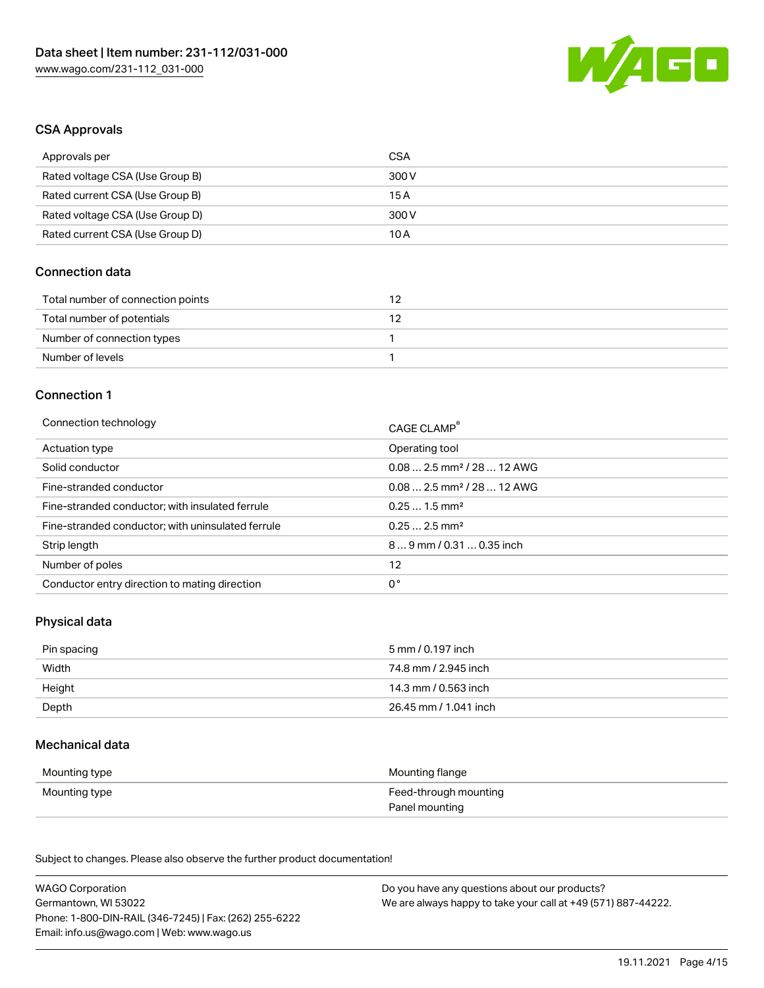

#### CSA Approvals

| Approvals per                   | CSA   |
|---------------------------------|-------|
| Rated voltage CSA (Use Group B) | 300 V |
| Rated current CSA (Use Group B) | 15 A  |
| Rated voltage CSA (Use Group D) | 300 V |
| Rated current CSA (Use Group D) | 10 A  |

### Connection data

| Total number of connection points |  |
|-----------------------------------|--|
| Total number of potentials        |  |
| Number of connection types        |  |
| Number of levels                  |  |

#### Connection 1

| Connection technology                             | CAGE CLAMP®                            |
|---------------------------------------------------|----------------------------------------|
| Actuation type                                    | Operating tool                         |
| Solid conductor                                   | $0.082.5$ mm <sup>2</sup> / 28  12 AWG |
| Fine-stranded conductor                           | $0.082.5$ mm <sup>2</sup> / 28  12 AWG |
| Fine-stranded conductor; with insulated ferrule   | $0.251.5$ mm <sup>2</sup>              |
| Fine-stranded conductor; with uninsulated ferrule | $0.252.5$ mm <sup>2</sup>              |
| Strip length                                      | $89$ mm / 0.31  0.35 inch              |
| Number of poles                                   | 12                                     |
| Conductor entry direction to mating direction     | 0°                                     |

## Physical data

| Pin spacing | 5 mm / 0.197 inch     |
|-------------|-----------------------|
| Width       | 74.8 mm / 2.945 inch  |
| Height      | 14.3 mm / 0.563 inch  |
| Depth       | 26.45 mm / 1.041 inch |

#### Mechanical data

| Mounting type | Mounting flange       |
|---------------|-----------------------|
| Mounting type | Feed-through mounting |
|               | Panel mounting        |

Subject to changes. Please also observe the further product documentation!

| <b>WAGO Corporation</b>                                | Do you have any questions about our products?                 |
|--------------------------------------------------------|---------------------------------------------------------------|
| Germantown, WI 53022                                   | We are always happy to take your call at +49 (571) 887-44222. |
| Phone: 1-800-DIN-RAIL (346-7245)   Fax: (262) 255-6222 |                                                               |
| Email: info.us@wago.com   Web: www.wago.us             |                                                               |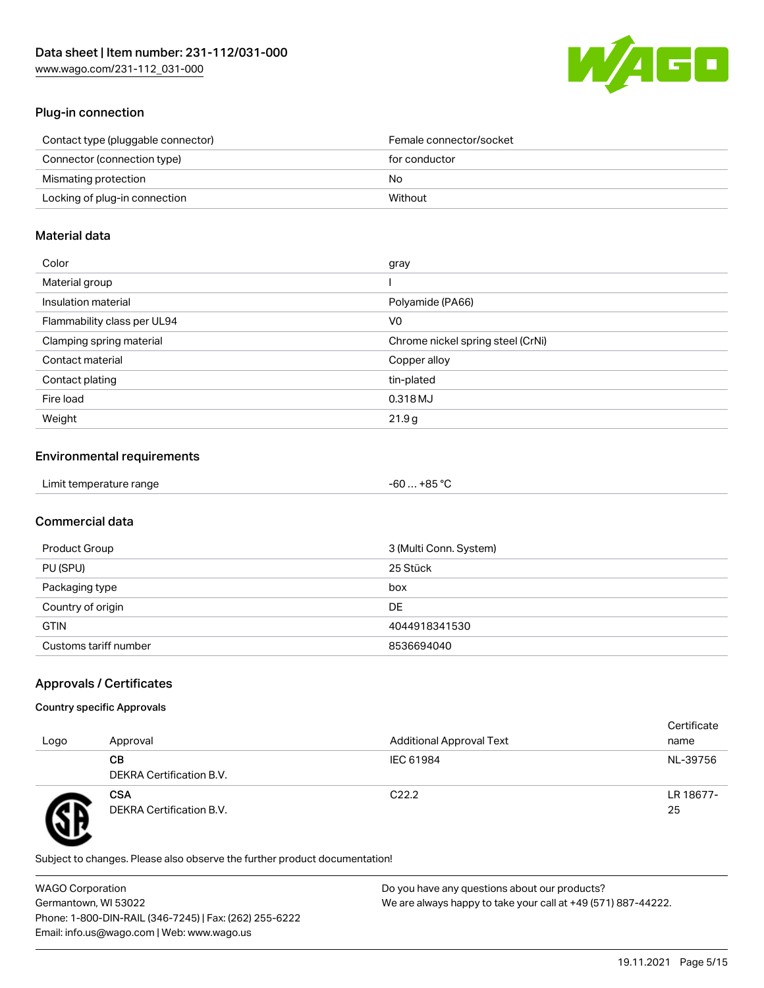

## Plug-in connection

| Contact type (pluggable connector) | Female connector/socket |
|------------------------------------|-------------------------|
| Connector (connection type)        | for conductor           |
| Mismating protection               | No.                     |
| Locking of plug-in connection      | Without                 |

### Material data

| Color                       | gray                              |
|-----------------------------|-----------------------------------|
| Material group              |                                   |
| Insulation material         | Polyamide (PA66)                  |
| Flammability class per UL94 | V0                                |
| Clamping spring material    | Chrome nickel spring steel (CrNi) |
| Contact material            | Copper alloy                      |
| Contact plating             | tin-plated                        |
| Fire load                   | 0.318 MJ                          |
| Weight                      | 21.9g                             |

### Environmental requirements

| Limit temperature range<br>. | +85 °ົ<br>-60 |  |
|------------------------------|---------------|--|
|------------------------------|---------------|--|

## Commercial data

| Product Group         | 3 (Multi Conn. System) |
|-----------------------|------------------------|
| PU (SPU)              | 25 Stück               |
| Packaging type        | box                    |
| Country of origin     | <b>DE</b>              |
| <b>GTIN</b>           | 4044918341530          |
| Customs tariff number | 8536694040             |

## Approvals / Certificates

#### Country specific Approvals

| Logo | Approval                               | <b>Additional Approval Text</b> | Certificate<br>name |
|------|----------------------------------------|---------------------------------|---------------------|
|      | CВ<br>DEKRA Certification B.V.         | IEC 61984                       | NL-39756            |
|      | <b>CSA</b><br>DEKRA Certification B.V. | C <sub>22.2</sub>               | LR 18677-<br>25     |

Subject to changes. Please also observe the further product documentation!

WAGO Corporation Germantown, WI 53022 Phone: 1-800-DIN-RAIL (346-7245) | Fax: (262) 255-6222 Email: info.us@wago.com | Web: www.wago.us Do you have any questions about our products? We are always happy to take your call at +49 (571) 887-44222.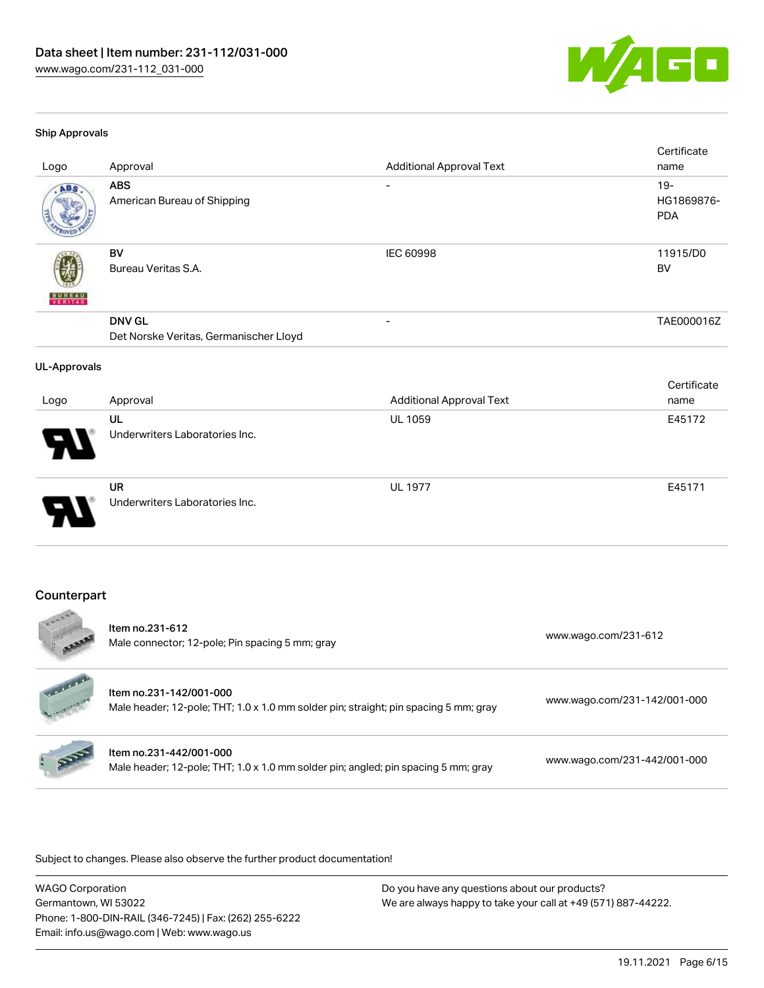

#### Ship Approvals

| Logo                | Approval                                                | <b>Additional Approval Text</b> | Certificate<br>name                |
|---------------------|---------------------------------------------------------|---------------------------------|------------------------------------|
| ABS                 | <b>ABS</b><br>American Bureau of Shipping               | $\overline{\phantom{a}}$        | $19 -$<br>HG1869876-<br><b>PDA</b> |
|                     | <b>BV</b><br>Bureau Veritas S.A.                        | IEC 60998                       | 11915/D0<br><b>BV</b>              |
|                     | <b>DNV GL</b><br>Det Norske Veritas, Germanischer Lloyd |                                 | TAE000016Z                         |
| <b>UL-Approvals</b> |                                                         |                                 |                                    |
| Logo                | Approval                                                | <b>Additional Approval Text</b> | Certificate<br>name                |
|                     | UL<br>Underwriters Laboratories Inc.                    | UL 1059                         | E45172                             |
|                     | <b>UR</b><br>Underwriters Laboratories Inc.             | <b>UL 1977</b>                  | E45171                             |
|                     |                                                         |                                 |                                    |

#### Counterpart

 $\frac{1}{2}$ 

| SOOM<br><b>ARRA</b>      | Item no.231-612<br>Male connector; 12-pole; Pin spacing 5 mm; gray                                              | www.wago.com/231-612         |
|--------------------------|-----------------------------------------------------------------------------------------------------------------|------------------------------|
| <b>WANTED CONTRACTOR</b> | Item no.231-142/001-000<br>Male header; 12-pole; THT; 1.0 x 1.0 mm solder pin; straight; pin spacing 5 mm; gray | www.wago.com/231-142/001-000 |
| A                        | Item no.231-442/001-000<br>Male header; 12-pole; THT; 1.0 x 1.0 mm solder pin; angled; pin spacing 5 mm; gray   | www.wago.com/231-442/001-000 |

Subject to changes. Please also observe the further product documentation!

WAGO Corporation Germantown, WI 53022 Phone: 1-800-DIN-RAIL (346-7245) | Fax: (262) 255-6222 Email: info.us@wago.com | Web: www.wago.us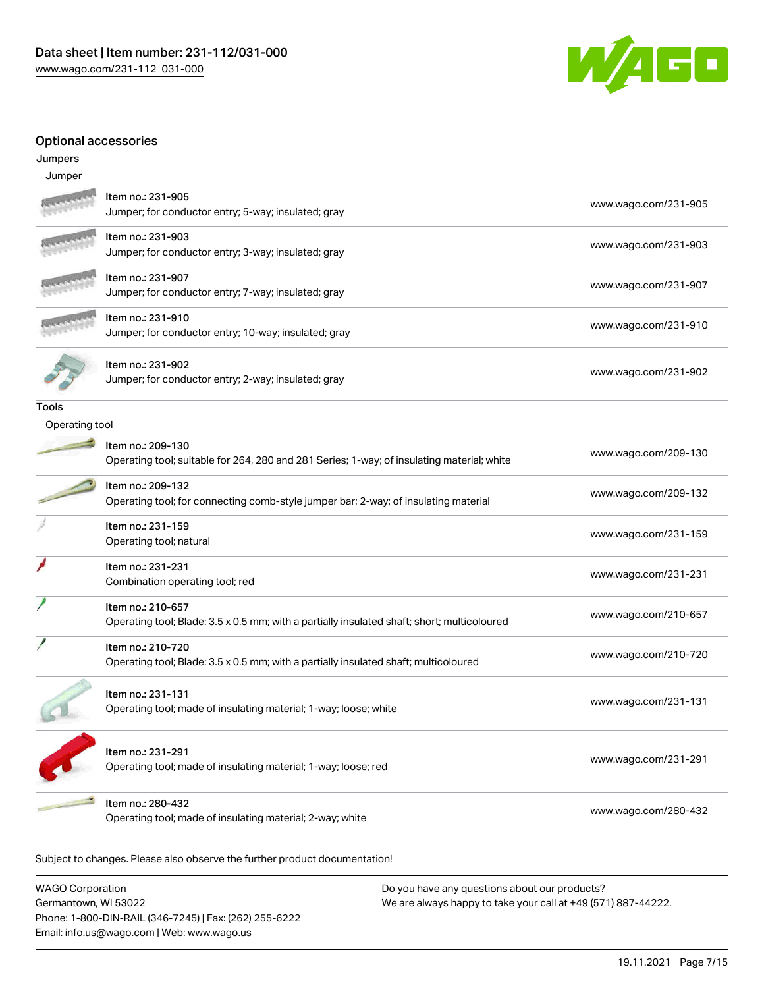

### Optional accessories

| Jumpers        |                                                                                                                  |                      |
|----------------|------------------------------------------------------------------------------------------------------------------|----------------------|
| Jumper         |                                                                                                                  |                      |
|                | Item no.: 231-905<br>Jumper; for conductor entry; 5-way; insulated; gray                                         | www.wago.com/231-905 |
|                | Item no.: 231-903<br>Jumper; for conductor entry; 3-way; insulated; gray                                         | www.wago.com/231-903 |
|                | Item no.: 231-907<br>Jumper; for conductor entry; 7-way; insulated; gray                                         | www.wago.com/231-907 |
|                | Item no.: 231-910<br>Jumper; for conductor entry; 10-way; insulated; gray                                        | www.wago.com/231-910 |
|                | Item no.: 231-902<br>Jumper; for conductor entry; 2-way; insulated; gray                                         | www.wago.com/231-902 |
| <b>Tools</b>   |                                                                                                                  |                      |
| Operating tool |                                                                                                                  |                      |
|                | Item no.: 209-130<br>Operating tool; suitable for 264, 280 and 281 Series; 1-way; of insulating material; white  | www.wago.com/209-130 |
|                | Item no.: 209-132<br>Operating tool; for connecting comb-style jumper bar; 2-way; of insulating material         | www.wago.com/209-132 |
|                | Item no.: 231-159<br>Operating tool; natural                                                                     | www.wago.com/231-159 |
|                | Item no.: 231-231<br>Combination operating tool; red                                                             | www.wago.com/231-231 |
|                | Item no.: 210-657<br>Operating tool; Blade: 3.5 x 0.5 mm; with a partially insulated shaft; short; multicoloured | www.wago.com/210-657 |
|                | Item no.: 210-720<br>Operating tool; Blade: 3.5 x 0.5 mm; with a partially insulated shaft; multicoloured        | www.wago.com/210-720 |
|                | Item no.: 231-131<br>Operating tool; made of insulating material; 1-way; loose; white                            | www.wago.com/231-131 |
|                | Item no.: 231-291<br>Operating tool; made of insulating material; 1-way; loose; red                              | www.wago.com/231-291 |
|                | Item no.: 280-432<br>Operating tool; made of insulating material; 2-way; white                                   | www.wago.com/280-432 |

Subject to changes. Please also observe the further product documentation!

WAGO Corporation Germantown, WI 53022 Phone: 1-800-DIN-RAIL (346-7245) | Fax: (262) 255-6222 Email: info.us@wago.com | Web: www.wago.us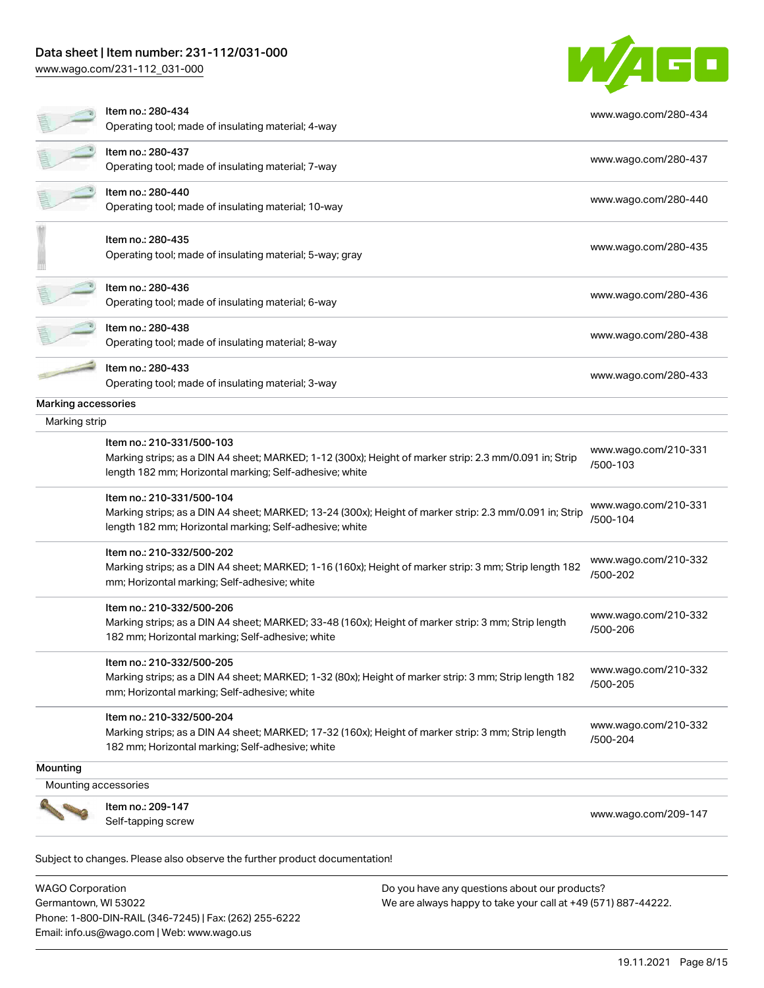# Data sheet | Item number: 231-112/031-000

[www.wago.com/231-112\\_031-000](http://www.wago.com/231-112_031-000)



|                     | Item no.: 280-434<br>Operating tool; made of insulating material; 4-way                                                                                                                         | www.wago.com/280-434             |
|---------------------|-------------------------------------------------------------------------------------------------------------------------------------------------------------------------------------------------|----------------------------------|
|                     | Item no.: 280-437<br>Operating tool; made of insulating material; 7-way                                                                                                                         | www.wago.com/280-437             |
|                     | Item no.: 280-440<br>Operating tool; made of insulating material; 10-way                                                                                                                        | www.wago.com/280-440             |
|                     | Item no.: 280-435<br>Operating tool; made of insulating material; 5-way; gray                                                                                                                   | www.wago.com/280-435             |
|                     | Item no.: 280-436<br>Operating tool; made of insulating material; 6-way                                                                                                                         | www.wago.com/280-436             |
|                     | Item no.: 280-438<br>Operating tool; made of insulating material; 8-way                                                                                                                         | www.wago.com/280-438             |
|                     | Item no.: 280-433<br>Operating tool; made of insulating material; 3-way                                                                                                                         | www.wago.com/280-433             |
| Marking accessories |                                                                                                                                                                                                 |                                  |
| Marking strip       |                                                                                                                                                                                                 |                                  |
|                     | Item no.: 210-331/500-103<br>Marking strips; as a DIN A4 sheet; MARKED; 1-12 (300x); Height of marker strip: 2.3 mm/0.091 in; Strip<br>length 182 mm; Horizontal marking; Self-adhesive; white  | www.wago.com/210-331<br>/500-103 |
|                     | Item no.: 210-331/500-104<br>Marking strips; as a DIN A4 sheet; MARKED; 13-24 (300x); Height of marker strip: 2.3 mm/0.091 in; Strip<br>length 182 mm; Horizontal marking; Self-adhesive; white | www.wago.com/210-331<br>/500-104 |
|                     | Item no.: 210-332/500-202<br>Marking strips; as a DIN A4 sheet; MARKED; 1-16 (160x); Height of marker strip: 3 mm; Strip length 182<br>mm; Horizontal marking; Self-adhesive; white             | www.wago.com/210-332<br>/500-202 |
|                     | Item no.: 210-332/500-206<br>Marking strips; as a DIN A4 sheet; MARKED; 33-48 (160x); Height of marker strip: 3 mm; Strip length<br>182 mm; Horizontal marking; Self-adhesive; white            | www.wago.com/210-332<br>/500-206 |
|                     | Item no.: 210-332/500-205<br>Marking strips; as a DIN A4 sheet; MARKED; 1-32 (80x); Height of marker strip: 3 mm; Strip length 182<br>mm; Horizontal marking; Self-adhesive; white              | www.wago.com/210-332<br>/500-205 |
|                     | Item no.: 210-332/500-204<br>Marking strips; as a DIN A4 sheet; MARKED; 17-32 (160x); Height of marker strip: 3 mm; Strip length<br>182 mm; Horizontal marking; Self-adhesive; white            | www.wago.com/210-332<br>/500-204 |
| Mounting            |                                                                                                                                                                                                 |                                  |
|                     | Mounting accessories                                                                                                                                                                            |                                  |
|                     | Item no.: 209-147<br>Self-tapping screw                                                                                                                                                         | www.wago.com/209-147             |

WAGO Corporation Germantown, WI 53022 Phone: 1-800-DIN-RAIL (346-7245) | Fax: (262) 255-6222 Email: info.us@wago.com | Web: www.wago.us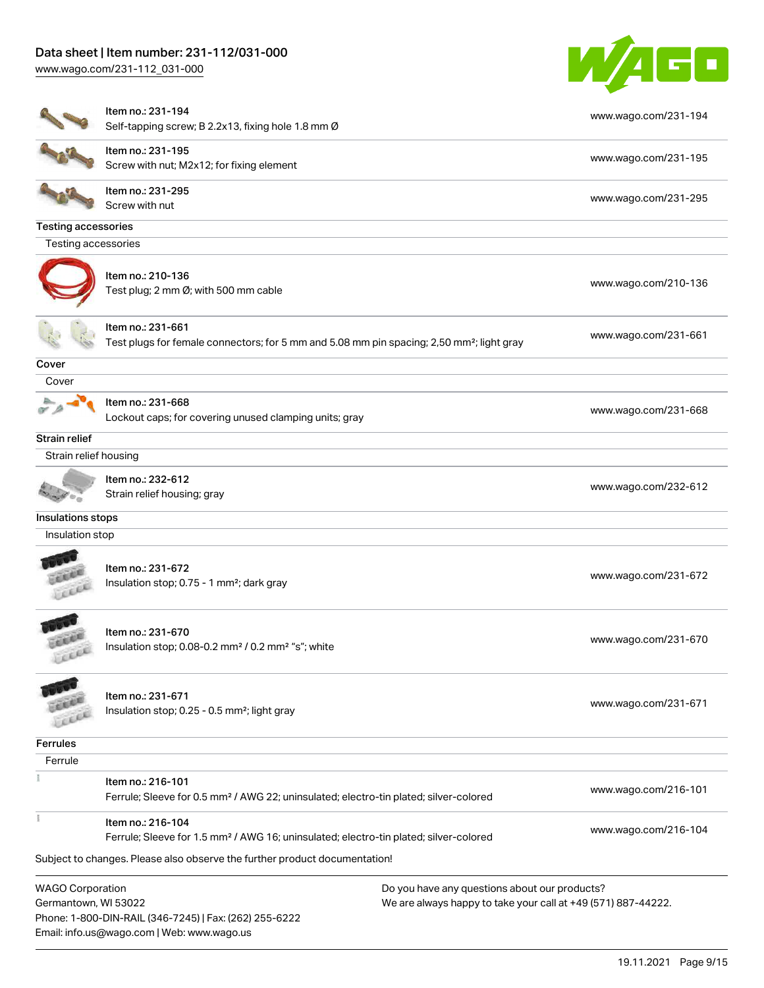# Data sheet | Item number: 231-112/031-000

[www.wago.com/231-112\\_031-000](http://www.wago.com/231-112_031-000)



|                                                 | Item no.: 231-194<br>Self-tapping screw; B 2.2x13, fixing hole 1.8 mm Ø                                                    |                                                                                                                | www.wago.com/231-194 |
|-------------------------------------------------|----------------------------------------------------------------------------------------------------------------------------|----------------------------------------------------------------------------------------------------------------|----------------------|
|                                                 | Item no.: 231-195<br>Screw with nut; M2x12; for fixing element                                                             |                                                                                                                | www.wago.com/231-195 |
|                                                 | Item no.: 231-295<br>Screw with nut                                                                                        |                                                                                                                | www.wago.com/231-295 |
| <b>Testing accessories</b>                      |                                                                                                                            |                                                                                                                |                      |
| Testing accessories                             |                                                                                                                            |                                                                                                                |                      |
|                                                 | Item no.: 210-136<br>Test plug; 2 mm Ø; with 500 mm cable                                                                  |                                                                                                                | www.wago.com/210-136 |
|                                                 | Item no.: 231-661<br>Test plugs for female connectors; for 5 mm and 5.08 mm pin spacing; 2,50 mm <sup>2</sup> ; light gray |                                                                                                                | www.wago.com/231-661 |
| Cover                                           |                                                                                                                            |                                                                                                                |                      |
| Cover                                           |                                                                                                                            |                                                                                                                |                      |
|                                                 | Item no.: 231-668<br>Lockout caps; for covering unused clamping units; gray                                                |                                                                                                                | www.wago.com/231-668 |
| Strain relief                                   |                                                                                                                            |                                                                                                                |                      |
| Strain relief housing                           |                                                                                                                            |                                                                                                                |                      |
|                                                 | Item no.: 232-612<br>Strain relief housing; gray                                                                           |                                                                                                                | www.wago.com/232-612 |
| Insulations stops                               |                                                                                                                            |                                                                                                                |                      |
| Insulation stop                                 |                                                                                                                            |                                                                                                                |                      |
|                                                 | Item no.: 231-672<br>Insulation stop; 0.75 - 1 mm <sup>2</sup> ; dark gray                                                 |                                                                                                                | www.wago.com/231-672 |
| <b>CALL</b>                                     | Item no.: 231-670<br>Insulation stop; 0.08-0.2 mm <sup>2</sup> / 0.2 mm <sup>2</sup> "s"; white                            |                                                                                                                | www.wago.com/231-670 |
|                                                 | Item no.: 231-671<br>Insulation stop; 0.25 - 0.5 mm <sup>2</sup> ; light gray                                              |                                                                                                                | www.wago.com/231-671 |
| Ferrules                                        |                                                                                                                            |                                                                                                                |                      |
| Ferrule                                         |                                                                                                                            |                                                                                                                |                      |
|                                                 | Item no.: 216-101<br>Ferrule; Sleeve for 0.5 mm <sup>2</sup> / AWG 22; uninsulated; electro-tin plated; silver-colored     |                                                                                                                | www.wago.com/216-101 |
| Ť                                               | Item no.: 216-104<br>Ferrule; Sleeve for 1.5 mm <sup>2</sup> / AWG 16; uninsulated; electro-tin plated; silver-colored     |                                                                                                                | www.wago.com/216-104 |
|                                                 | Subject to changes. Please also observe the further product documentation!                                                 |                                                                                                                |                      |
| <b>WAGO Corporation</b><br>Germantown, WI 53022 | Phone: 1-800-DIN-RAIL (346-7245)   Fax: (262) 255-6222<br>Email: info.us@wago.com   Web: www.wago.us                       | Do you have any questions about our products?<br>We are always happy to take your call at +49 (571) 887-44222. |                      |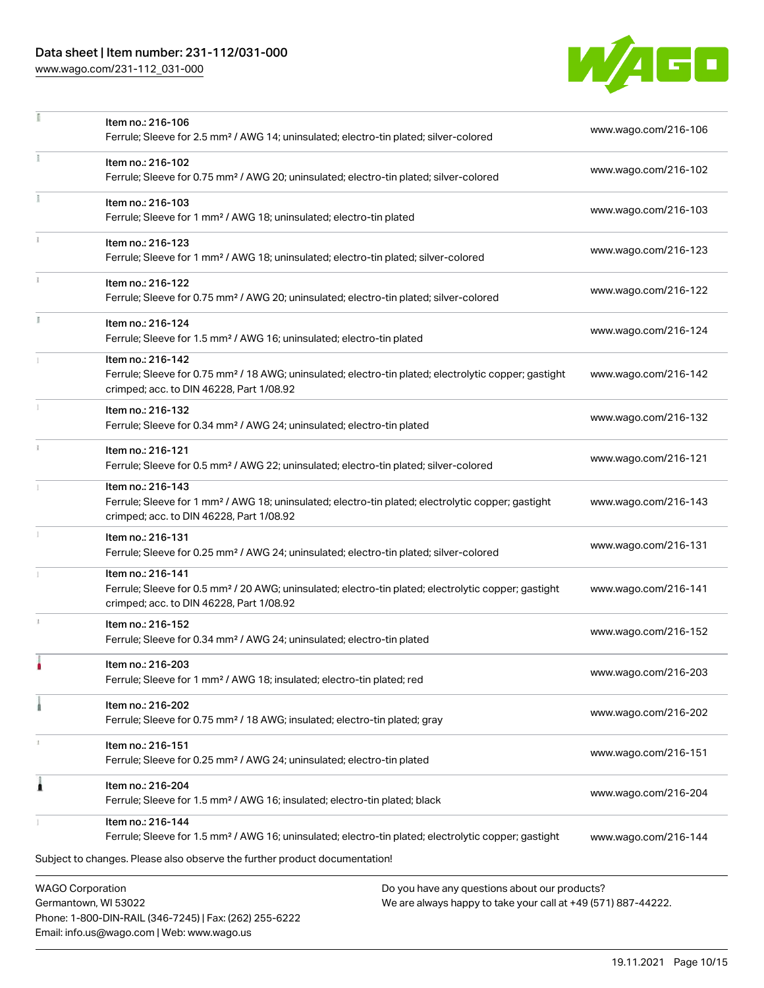# Data sheet | Item number: 231-112/031-000

Phone: 1-800-DIN-RAIL (346-7245) | Fax: (262) 255-6222

Email: info.us@wago.com | Web: www.wago.us

[www.wago.com/231-112\\_031-000](http://www.wago.com/231-112_031-000)



|                                                 | Item no.: 216-106<br>Ferrule; Sleeve for 2.5 mm <sup>2</sup> / AWG 14; uninsulated; electro-tin plated; silver-colored                                                                                              |                                                                                                                | www.wago.com/216-106 |
|-------------------------------------------------|---------------------------------------------------------------------------------------------------------------------------------------------------------------------------------------------------------------------|----------------------------------------------------------------------------------------------------------------|----------------------|
| Ŧ.                                              | Item no.: 216-102<br>Ferrule; Sleeve for 0.75 mm <sup>2</sup> / AWG 20; uninsulated; electro-tin plated; silver-colored                                                                                             |                                                                                                                | www.wago.com/216-102 |
| Ť.                                              | Item no.: 216-103<br>Ferrule; Sleeve for 1 mm <sup>2</sup> / AWG 18; uninsulated; electro-tin plated                                                                                                                |                                                                                                                | www.wago.com/216-103 |
|                                                 | Item no.: 216-123<br>Ferrule; Sleeve for 1 mm <sup>2</sup> / AWG 18; uninsulated; electro-tin plated; silver-colored                                                                                                |                                                                                                                | www.wago.com/216-123 |
|                                                 | Item no.: 216-122<br>Ferrule; Sleeve for 0.75 mm <sup>2</sup> / AWG 20; uninsulated; electro-tin plated; silver-colored                                                                                             |                                                                                                                | www.wago.com/216-122 |
| I.                                              | Item no.: 216-124<br>Ferrule; Sleeve for 1.5 mm <sup>2</sup> / AWG 16; uninsulated; electro-tin plated                                                                                                              |                                                                                                                | www.wago.com/216-124 |
|                                                 | Item no.: 216-142<br>Ferrule; Sleeve for 0.75 mm <sup>2</sup> / 18 AWG; uninsulated; electro-tin plated; electrolytic copper; gastight<br>crimped; acc. to DIN 46228, Part 1/08.92                                  |                                                                                                                | www.wago.com/216-142 |
|                                                 | Item no.: 216-132<br>Ferrule; Sleeve for 0.34 mm <sup>2</sup> / AWG 24; uninsulated; electro-tin plated                                                                                                             |                                                                                                                | www.wago.com/216-132 |
| $\frac{1}{3}$                                   | Item no.: 216-121<br>Ferrule; Sleeve for 0.5 mm <sup>2</sup> / AWG 22; uninsulated; electro-tin plated; silver-colored                                                                                              |                                                                                                                | www.wago.com/216-121 |
|                                                 | Item no.: 216-143<br>Ferrule; Sleeve for 1 mm <sup>2</sup> / AWG 18; uninsulated; electro-tin plated; electrolytic copper; gastight<br>crimped; acc. to DIN 46228, Part 1/08.92                                     |                                                                                                                | www.wago.com/216-143 |
|                                                 | Item no.: 216-131<br>Ferrule; Sleeve for 0.25 mm <sup>2</sup> / AWG 24; uninsulated; electro-tin plated; silver-colored                                                                                             |                                                                                                                | www.wago.com/216-131 |
|                                                 | Item no.: 216-141<br>Ferrule; Sleeve for 0.5 mm <sup>2</sup> / 20 AWG; uninsulated; electro-tin plated; electrolytic copper; gastight<br>crimped; acc. to DIN 46228, Part 1/08.92                                   |                                                                                                                | www.wago.com/216-141 |
|                                                 | Item no.: 216-152<br>Ferrule; Sleeve for 0.34 mm <sup>2</sup> / AWG 24; uninsulated; electro-tin plated                                                                                                             |                                                                                                                | www.wago.com/216-152 |
|                                                 | Item no.: 216-203<br>Ferrule; Sleeve for 1 mm <sup>2</sup> / AWG 18; insulated; electro-tin plated; red                                                                                                             |                                                                                                                | www.wago.com/216-203 |
|                                                 | Item no.: 216-202<br>Ferrule; Sleeve for 0.75 mm <sup>2</sup> / 18 AWG; insulated; electro-tin plated; gray                                                                                                         |                                                                                                                | www.wago.com/216-202 |
|                                                 | Item no.: 216-151<br>Ferrule; Sleeve for 0.25 mm <sup>2</sup> / AWG 24; uninsulated; electro-tin plated                                                                                                             |                                                                                                                | www.wago.com/216-151 |
| À                                               | Item no.: 216-204<br>Ferrule; Sleeve for 1.5 mm <sup>2</sup> / AWG 16; insulated; electro-tin plated; black                                                                                                         |                                                                                                                | www.wago.com/216-204 |
|                                                 | Item no.: 216-144<br>Ferrule; Sleeve for 1.5 mm <sup>2</sup> / AWG 16; uninsulated; electro-tin plated; electrolytic copper; gastight<br>Subject to changes. Please also observe the further product documentation! |                                                                                                                | www.wago.com/216-144 |
| <b>WAGO Corporation</b><br>Germantown, WI 53022 |                                                                                                                                                                                                                     | Do you have any questions about our products?<br>We are always happy to take your call at +49 (571) 887-44222. |                      |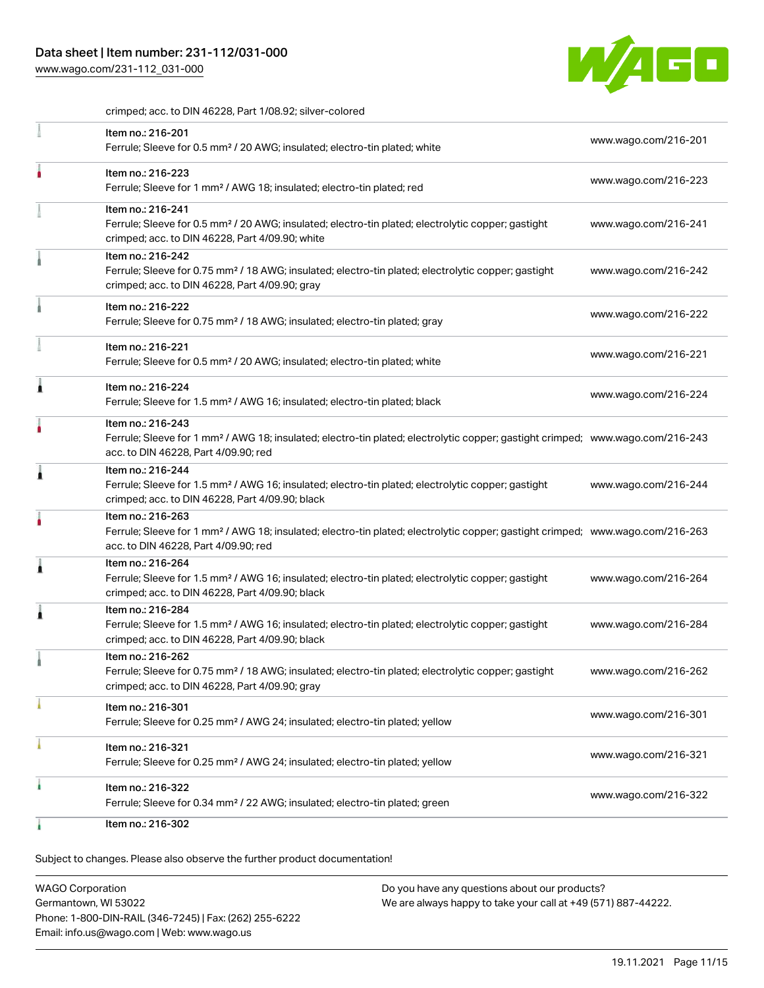[www.wago.com/231-112\\_031-000](http://www.wago.com/231-112_031-000)



crimped; acc. to DIN 46228, Part 1/08.92; silver-colored

| Item no.: 216-201<br>Ferrule; Sleeve for 0.5 mm <sup>2</sup> / 20 AWG; insulated; electro-tin plated; white                                                                                             | www.wago.com/216-201 |
|---------------------------------------------------------------------------------------------------------------------------------------------------------------------------------------------------------|----------------------|
| Item no.: 216-223<br>Ferrule; Sleeve for 1 mm <sup>2</sup> / AWG 18; insulated; electro-tin plated; red                                                                                                 | www.wago.com/216-223 |
| Item no.: 216-241<br>Ferrule; Sleeve for 0.5 mm <sup>2</sup> / 20 AWG; insulated; electro-tin plated; electrolytic copper; gastight<br>crimped; acc. to DIN 46228, Part 4/09.90; white                  | www.wago.com/216-241 |
| Item no.: 216-242<br>Ferrule; Sleeve for 0.75 mm <sup>2</sup> / 18 AWG; insulated; electro-tin plated; electrolytic copper; gastight<br>crimped; acc. to DIN 46228, Part 4/09.90; gray                  | www.wago.com/216-242 |
| Item no.: 216-222<br>Ferrule; Sleeve for 0.75 mm <sup>2</sup> / 18 AWG; insulated; electro-tin plated; gray                                                                                             | www.wago.com/216-222 |
| Item no.: 216-221<br>Ferrule; Sleeve for 0.5 mm <sup>2</sup> / 20 AWG; insulated; electro-tin plated; white                                                                                             | www.wago.com/216-221 |
| Item no.: 216-224<br>Ferrule; Sleeve for 1.5 mm <sup>2</sup> / AWG 16; insulated; electro-tin plated; black                                                                                             | www.wago.com/216-224 |
| Item no.: 216-243<br>Ferrule; Sleeve for 1 mm <sup>2</sup> / AWG 18; insulated; electro-tin plated; electrolytic copper; gastight crimped; www.wago.com/216-243<br>acc. to DIN 46228, Part 4/09.90; red |                      |
| Item no.: 216-244<br>Ferrule; Sleeve for 1.5 mm <sup>2</sup> / AWG 16; insulated; electro-tin plated; electrolytic copper; gastight<br>crimped; acc. to DIN 46228, Part 4/09.90; black                  | www.wago.com/216-244 |
| Item no.: 216-263<br>Ferrule; Sleeve for 1 mm <sup>2</sup> / AWG 18; insulated; electro-tin plated; electrolytic copper; gastight crimped; www.wago.com/216-263<br>acc. to DIN 46228, Part 4/09.90; red |                      |
| Item no.: 216-264<br>Ferrule; Sleeve for 1.5 mm <sup>2</sup> / AWG 16; insulated; electro-tin plated; electrolytic copper; gastight<br>crimped; acc. to DIN 46228, Part 4/09.90; black                  | www.wago.com/216-264 |
| Item no.: 216-284<br>Ferrule; Sleeve for 1.5 mm <sup>2</sup> / AWG 16; insulated; electro-tin plated; electrolytic copper; gastight<br>crimped; acc. to DIN 46228, Part 4/09.90; black                  | www.wago.com/216-284 |
| Item no.: 216-262<br>Ferrule; Sleeve for 0.75 mm <sup>2</sup> / 18 AWG; insulated; electro-tin plated; electrolytic copper; gastight<br>crimped; acc. to DIN 46228, Part 4/09.90; gray                  | www.wago.com/216-262 |
| Item no.: 216-301<br>Ferrule; Sleeve for 0.25 mm <sup>2</sup> / AWG 24; insulated; electro-tin plated; yellow                                                                                           | www.wago.com/216-301 |
| Item no.: 216-321<br>Ferrule; Sleeve for 0.25 mm <sup>2</sup> / AWG 24; insulated; electro-tin plated; yellow                                                                                           | www.wago.com/216-321 |
| Item no.: 216-322<br>Ferrule; Sleeve for 0.34 mm <sup>2</sup> / 22 AWG; insulated; electro-tin plated; green                                                                                            | www.wago.com/216-322 |
| Item no.: 216-302                                                                                                                                                                                       |                      |

Subject to changes. Please also observe the further product documentation!

WAGO Corporation Germantown, WI 53022 Phone: 1-800-DIN-RAIL (346-7245) | Fax: (262) 255-6222 Email: info.us@wago.com | Web: www.wago.us Do you have any questions about our products? We are always happy to take your call at +49 (571) 887-44222.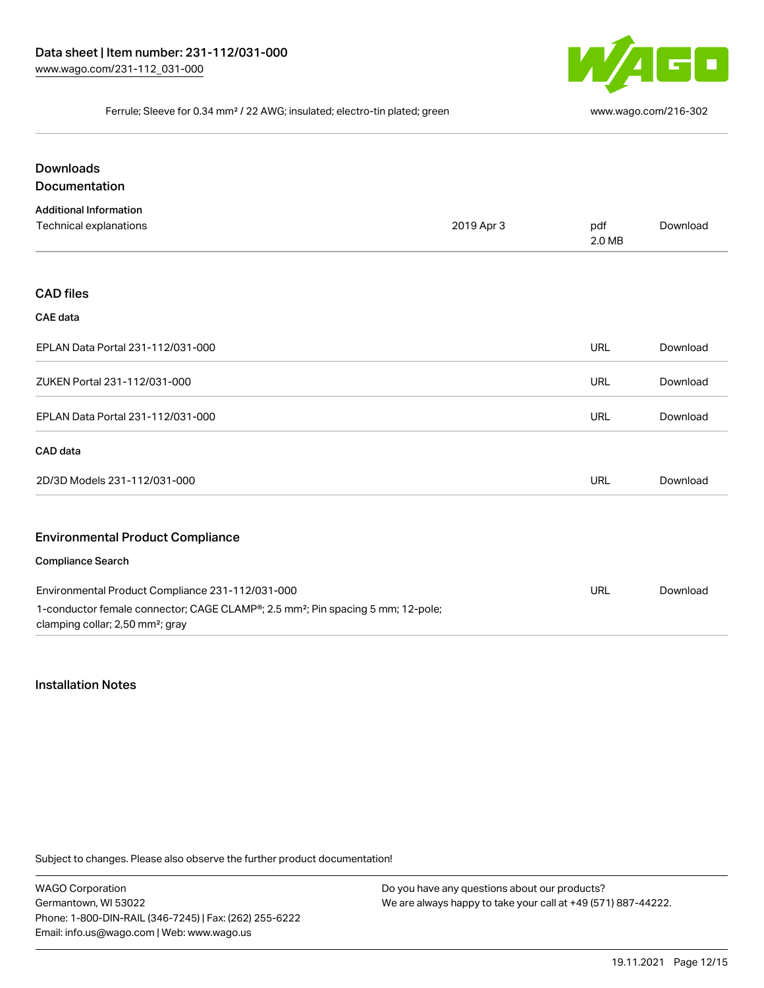

#### Ferrule; Sleeve for 0.34 mm² / 22 AWG; insulated; electro-tin plated; green [www.wago.com/216-302](http://www.wago.com/216-302)

| <b>Downloads</b><br>Documentation                                                                                                           |            |               |          |
|---------------------------------------------------------------------------------------------------------------------------------------------|------------|---------------|----------|
| <b>Additional Information</b><br>Technical explanations                                                                                     | 2019 Apr 3 | pdf<br>2.0 MB | Download |
| <b>CAD files</b>                                                                                                                            |            |               |          |
| <b>CAE</b> data                                                                                                                             |            |               |          |
| EPLAN Data Portal 231-112/031-000                                                                                                           |            | <b>URL</b>    | Download |
| ZUKEN Portal 231-112/031-000                                                                                                                |            | <b>URL</b>    | Download |
| EPLAN Data Portal 231-112/031-000                                                                                                           |            | <b>URL</b>    | Download |
| CAD data                                                                                                                                    |            |               |          |
| 2D/3D Models 231-112/031-000                                                                                                                |            | <b>URL</b>    | Download |
| <b>Environmental Product Compliance</b>                                                                                                     |            |               |          |
| <b>Compliance Search</b>                                                                                                                    |            |               |          |
| Environmental Product Compliance 231-112/031-000                                                                                            |            | <b>URL</b>    | Download |
| 1-conductor female connector; CAGE CLAMP®; 2.5 mm <sup>2</sup> ; Pin spacing 5 mm; 12-pole;<br>clamping collar; 2,50 mm <sup>2</sup> ; gray |            |               |          |

#### Installation Notes

Subject to changes. Please also observe the further product documentation!

WAGO Corporation Germantown, WI 53022 Phone: 1-800-DIN-RAIL (346-7245) | Fax: (262) 255-6222 Email: info.us@wago.com | Web: www.wago.us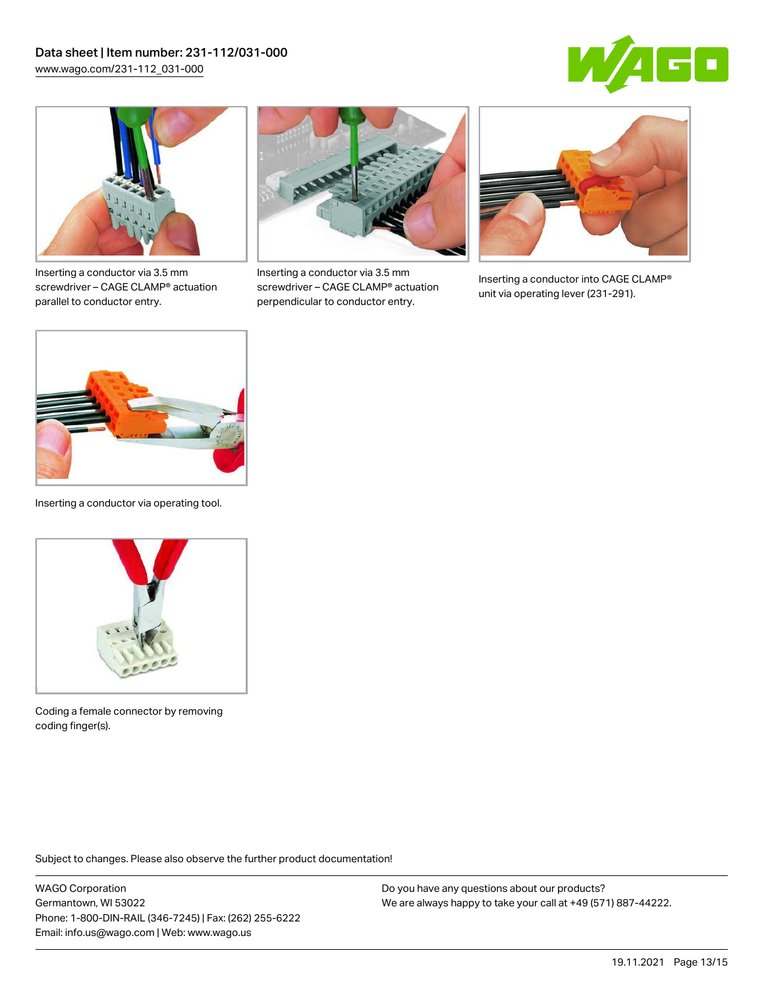



Inserting a conductor via 3.5 mm screwdriver – CAGE CLAMP® actuation parallel to conductor entry.



Inserting a conductor via 3.5 mm screwdriver – CAGE CLAMP® actuation perpendicular to conductor entry.



Inserting a conductor into CAGE CLAMP® unit via operating lever (231-291).



Inserting a conductor via operating tool.



Coding a female connector by removing coding finger(s).

Subject to changes. Please also observe the further product documentation!

WAGO Corporation Germantown, WI 53022 Phone: 1-800-DIN-RAIL (346-7245) | Fax: (262) 255-6222 Email: info.us@wago.com | Web: www.wago.us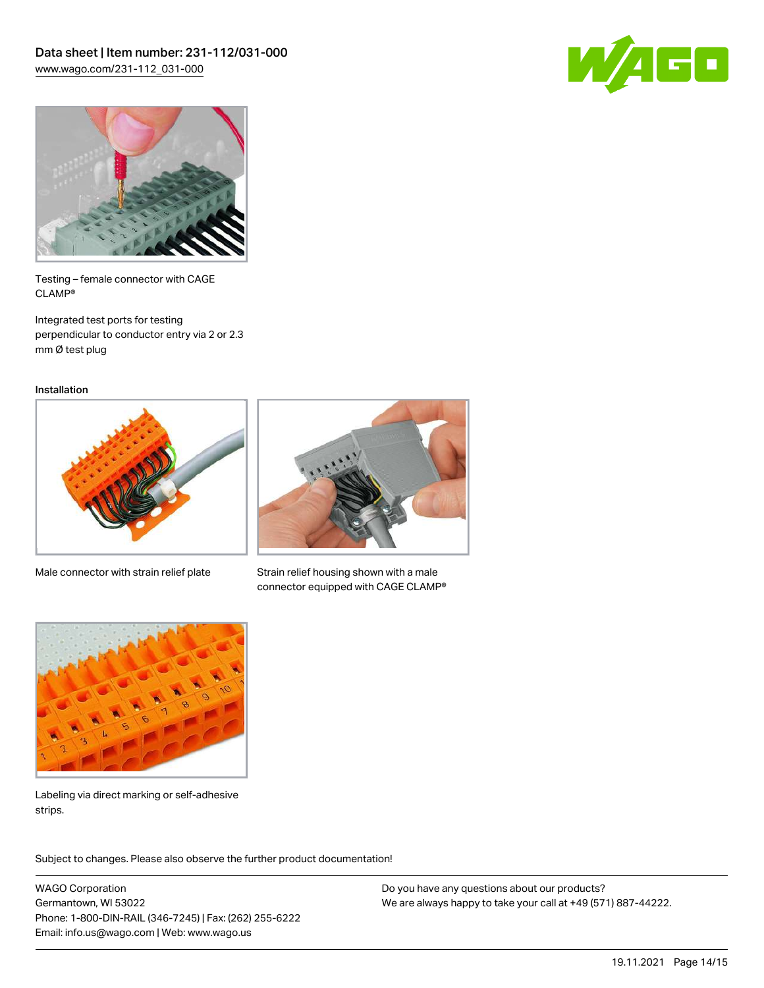



Testing – female connector with CAGE CLAMP®

Integrated test ports for testing perpendicular to conductor entry via 2 or 2.3 mm Ø test plug

Installation



Male connector with strain relief plate



Strain relief housing shown with a male connector equipped with CAGE CLAMP®



Labeling via direct marking or self-adhesive strips.

Subject to changes. Please also observe the further product documentation! Product family

WAGO Corporation Germantown, WI 53022 Phone: 1-800-DIN-RAIL (346-7245) | Fax: (262) 255-6222 Email: info.us@wago.com | Web: www.wago.us